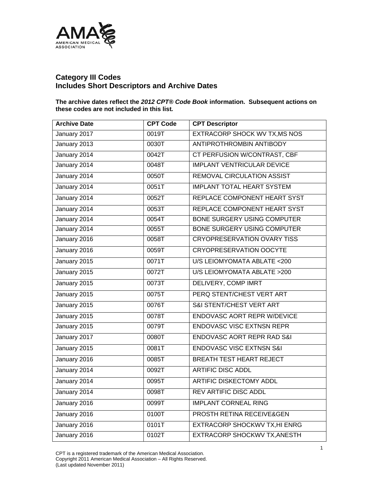

## **Category III Codes Includes Short Descriptors and Archive Dates**

**The archive dates reflect the** *2012 CPT® Code Book* **information. Subsequent actions on these codes are not included in this list***.* 

| <b>Archive Date</b> | <b>CPT Code</b>    | <b>CPT Descriptor</b>                 |
|---------------------|--------------------|---------------------------------------|
| January 2017        | 0019T              | EXTRACORP SHOCK WV TX, MS NOS         |
| January 2013        | 0030T              | <b>ANTIPROTHROMBIN ANTIBODY</b>       |
| January 2014        | 0042T              | <b>CT PERFUSION W/CONTRAST, CBF</b>   |
| January 2014        | 0048T              | <b>IMPLANT VENTRICULAR DEVICE</b>     |
| January 2014        | 0050T              | <b>REMOVAL CIRCULATION ASSIST</b>     |
| January 2014        | 0051T              | <b>IMPLANT TOTAL HEART SYSTEM</b>     |
| January 2014        | 0052T              | REPLACE COMPONENT HEART SYST          |
| January 2014        | 0053T              | REPLACE COMPONENT HEART SYST          |
| January 2014        | 0054T              | <b>BONE SURGERY USING COMPUTER</b>    |
| January 2014        | 0055T              | <b>BONE SURGERY USING COMPUTER</b>    |
| January 2016        | 0058T              | <b>CRYOPRESERVATION OVARY TISS</b>    |
| January 2016        | 0059T              | <b>CRYOPRESERVATION OOCYTE</b>        |
| January 2015        | 0071T              | U/S LEIOMYOMATA ABLATE <200           |
| January 2015        | $\overline{0072T}$ | U/S LEIOMYOMATA ABLATE >200           |
| January 2015        | 0073T              | <b>DELIVERY, COMP IMRT</b>            |
| January 2015        | 0075T              | PERQ STENT/CHEST VERT ART             |
| January 2015        | 0076T              | S&I STENT/CHEST VERT ART              |
| January 2015        | 0078T              | <b>ENDOVASC AORT REPR W/DEVICE</b>    |
| January 2015        | 0079T              | <b>ENDOVASC VISC EXTNSN REPR</b>      |
| January 2017        | 0080T              | <b>ENDOVASC AORT REPR RAD S&amp;I</b> |
| January 2015        | 0081T              | <b>ENDOVASC VISC EXTNSN S&amp;I</b>   |
| January 2016        | 0085T              | <b>BREATH TEST HEART REJECT</b>       |
| January 2014        | 0092T              | <b>ARTIFIC DISC ADDL</b>              |
| January 2014        | 0095T              | <b>ARTIFIC DISKECTOMY ADDL</b>        |
| January 2014        | 0098T              | <b>REV ARTIFIC DISC ADDL</b>          |
| January 2016        | 0099T              | <b>IMPLANT CORNEAL RING</b>           |
| January 2016        | 0100T              | PROSTH RETINA RECEIVE&GEN             |
| January 2016        | 0101T              | <b>EXTRACORP SHOCKWV TX, HI ENRG</b>  |
| January 2016        | 0102T              | EXTRACORP SHOCKWV TX, ANESTH          |

CPT is a registered trademark of the American Medical Association. Copyright 2011 American Medical Association – All Rights Reserved. (Last updated November 2011)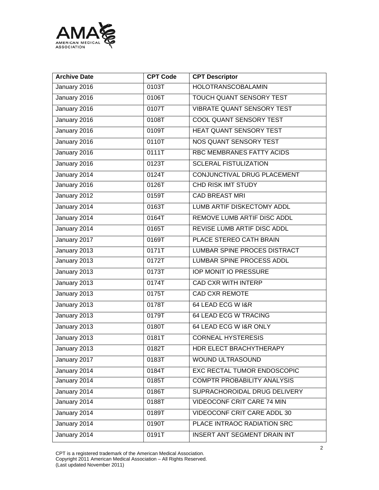

| <b>Archive Date</b> | <b>CPT Code</b> | <b>CPT Descriptor</b>               |
|---------------------|-----------------|-------------------------------------|
| January 2016        | 0103T           | <b>HOLOTRANSCOBALAMIN</b>           |
| January 2016        | 0106T           | TOUCH QUANT SENSORY TEST            |
| January 2016        | 0107T           | <b>VIBRATE QUANT SENSORY TEST</b>   |
| January 2016        | 0108T           | COOL QUANT SENSORY TEST             |
| January 2016        | 0109T           | HEAT QUANT SENSORY TEST             |
| January 2016        | 0110T           | NOS QUANT SENSORY TEST              |
| January 2016        | 0111T           | RBC MEMBRANES FATTY ACIDS           |
| January 2016        | 0123T           | <b>SCLERAL FISTULIZATION</b>        |
| January 2014        | 0124T           | CONJUNCTIVAL DRUG PLACEMENT         |
| January 2016        | 0126T           | CHD RISK IMT STUDY                  |
| January 2012        | 0159T           | <b>CAD BREAST MRI</b>               |
| January 2014        | 0163T           | LUMB ARTIF DISKECTOMY ADDL          |
| January 2014        | 0164T           | REMOVE LUMB ARTIF DISC ADDL         |
| January 2014        | 0165T           | REVISE LUMB ARTIF DISC ADDL         |
| January 2017        | 0169T           | PLACE STEREO CATH BRAIN             |
| January 2013        | 0171T           | LUMBAR SPINE PROCES DISTRACT        |
| January 2013        | 0172T           | LUMBAR SPINE PROCESS ADDL           |
| January 2013        | 0173T           | <b>IOP MONIT IO PRESSURE</b>        |
| January 2013        | 0174T           | <b>CAD CXR WITH INTERP</b>          |
| January 2013        | 0175T           | <b>CAD CXR REMOTE</b>               |
| January 2013        | 0178T           | 64 LEAD ECG W I&R                   |
| January 2013        | 0179T           | <b>64 LEAD ECG W TRACING</b>        |
| January 2013        | 0180T           | 64 LEAD ECG W I&R ONLY              |
| January 2013        | 0181T           | <b>CORNEAL HYSTERESIS</b>           |
| January 2013        | 0182T           | HDR ELECT BRACHYTHERAPY             |
| January 2017        | 0183T           | WOUND ULTRASOUND                    |
| January 2014        | 0184T           | EXC RECTAL TUMOR ENDOSCOPIC         |
| January 2014        | 0185T           | COMPTR PROBABILITY ANALYSIS         |
| January 2014        | 0186T           | SUPRACHOROIDAL DRUG DELIVERY        |
| January 2014        | 0188T           | VIDEOCONF CRIT CARE 74 MIN          |
| January 2014        | 0189T           | <b>VIDEOCONF CRIT CARE ADDL 30</b>  |
| January 2014        | 0190T           | PLACE INTRAOC RADIATION SRC         |
| January 2014        | 0191T           | <b>INSERT ANT SEGMENT DRAIN INT</b> |

CPT is a registered trademark of the American Medical Association. Copyright 2011 American Medical Association – All Rights Reserved. (Last updated November 2011)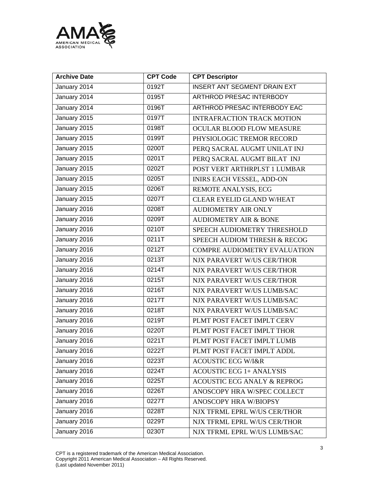

| <b>Archive Date</b> | <b>CPT Code</b> | <b>CPT Descriptor</b>                  |
|---------------------|-----------------|----------------------------------------|
| January 2014        | 0192T           | <b>INSERT ANT SEGMENT DRAIN EXT</b>    |
| January 2014        | 0195T           | ARTHROD PRESAC INTERBODY               |
| January 2014        | 0196T           | ARTHROD PRESAC INTERBODY EAC           |
| January 2015        | 0197T           | <b>INTRAFRACTION TRACK MOTION</b>      |
| January 2015        | 0198T           | OCULAR BLOOD FLOW MEASURE              |
| January 2015        | 0199T           | PHYSIOLOGIC TREMOR RECORD              |
| January 2015        | 0200T           | PERQ SACRAL AUGMT UNILAT INJ           |
| January 2015        | 0201T           | PERQ SACRAL AUGMT BILAT INJ            |
| January 2015        | 0202T           | POST VERT ARTHRPLST 1 LUMBAR           |
| January 2015        | 0205T           | <b>INIRS EACH VESSEL, ADD-ON</b>       |
| January 2015        | 0206T           | REMOTE ANALYSIS, ECG                   |
| January 2015        | 0207T           | <b>CLEAR EYELID GLAND W/HEAT</b>       |
| January 2016        | 0208T           | <b>AUDIOMETRY AIR ONLY</b>             |
| January 2016        | 0209T           | <b>AUDIOMETRY AIR &amp; BONE</b>       |
| January 2016        | 0210T           | SPEECH AUDIOMETRY THRESHOLD            |
| January 2016        | 0211T           | SPEECH AUDIOM THRESH & RECOG           |
| January 2016        | 0212T           | <b>COMPRE AUDIOMETRY EVALUATION</b>    |
| January 2016        | 0213T           | NJX PARAVERT W/US CER/THOR             |
| January 2016        | 0214T           | NJX PARAVERT W/US CER/THOR             |
| January 2016        | 0215T           | NJX PARAVERT W/US CER/THOR             |
| January 2016        | 0216T           | NJX PARAVERT W/US LUMB/SAC             |
| January 2016        | 0217T           | NJX PARAVERT W/US LUMB/SAC             |
| January 2016        | 0218T           | NJX PARAVERT W/US LUMB/SAC             |
| January 2016        | 0219T           | PLMT POST FACET IMPLT CERV             |
| January 2016        | 0220T           | PLMT POST FACET IMPLT THOR             |
| January 2016        | 0221T           | PLMT POST FACET IMPLT LUMB             |
| January 2016        | 0222T           | PLMT POST FACET IMPLT ADDL             |
| January 2016        | 0223T           | <b>ACOUSTIC ECG W/I&amp;R</b>          |
| January 2016        | 0224T           | <b>ACOUSTIC ECG 1+ ANALYSIS</b>        |
| January 2016        | 0225T           | <b>ACOUSTIC ECG ANALY &amp; REPROG</b> |
| January 2016        | 0226T           | ANOSCOPY HRA W/SPEC COLLECT            |
| January 2016        | 0227T           | ANOSCOPY HRA W/BIOPSY                  |
| January 2016        | 0228T           | NJX TFRML EPRL W/US CER/THOR           |
| January 2016        | 0229T           | NJX TFRML EPRL W/US CER/THOR           |
| January 2016        | 0230T           | NJX TFRML EPRL W/US LUMB/SAC           |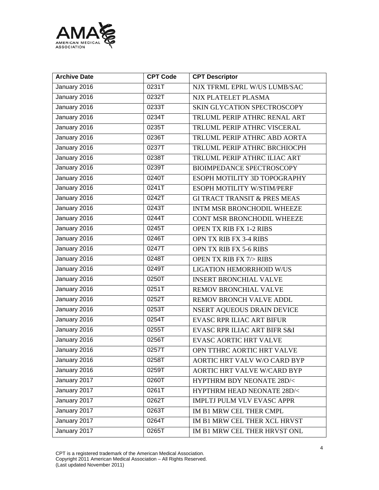

| <b>Archive Date</b> | <b>CPT Code</b>    | <b>CPT Descriptor</b>                   |
|---------------------|--------------------|-----------------------------------------|
| January 2016        | 0231T              | NJX TFRML EPRL W/US LUMB/SAC            |
| January 2016        | 0232T              | NJX PLATELET PLASMA                     |
| January 2016        | 0233T              | SKIN GLYCATION SPECTROSCOPY             |
| January 2016        | 0234T              | TRLUML PERIP ATHRC RENAL ART            |
| January 2016        | 0235T              | TRLUML PERIP ATHRC VISCERAL             |
| January 2016        | 0236T              | TRLUML PERIP ATHRC ABD AORTA            |
| January 2016        | 0237T              | TRLUML PERIP ATHRC BRCHIOCPH            |
| January 2016        | 0238T              | TRLUML PERIP ATHRC ILIAC ART            |
| January 2016        | 0239T              | <b>BIOIMPEDANCE SPECTROSCOPY</b>        |
| January 2016        | 0240T              | ESOPH MOTILITY 3D TOPOGRAPHY            |
| January 2016        | 0241T              | ESOPH MOTILITY W/STIM/PERF              |
| January 2016        | 0242T              | <b>GI TRACT TRANSIT &amp; PRES MEAS</b> |
| January 2016        | 0243T              | INTM MSR BRONCHODIL WHEEZE              |
| January 2016        | 0244T              | CONT MSR BRONCHODIL WHEEZE              |
| January 2016        | 0245T              | OPEN TX RIB FX 1-2 RIBS                 |
| January 2016        | 0246T              | OPN TX RIB FX 3-4 RIBS                  |
| January 2016        | 0247T              | OPN TX RIB FX 5-6 RIBS                  |
| January 2016        | 0248T              | OPEN TX RIB FX 7/> RIBS                 |
| January 2016        | 0249T              | LIGATION HEMORRHOID W/US                |
| January 2016        | 0250T              | <b>INSERT BRONCHIAL VALVE</b>           |
| January 2016        | 0251T              | REMOV BRONCHIAL VALVE                   |
| January 2016        | 0252T              | REMOV BRONCH VALVE ADDL                 |
| January 2016        | 0253T              | NSERT AQUEOUS DRAIN DEVICE              |
| January 2016        | 0254T              | <b>EVASC RPR ILIAC ART BIFUR</b>        |
| January 2016        | 0255T              | EVASC RPR ILIAC ART BIFR S&I            |
| January 2016        | 0256T              | <b>EVASC AORTIC HRT VALVE</b>           |
| January 2016        | 0257T              | OPN TTHRC AORTIC HRT VALVE              |
| January 2016        | 0258T              | AORTIC HRT VALV W/O CARD BYP            |
| January 2016        | 0259T              | AORTIC HRT VALVE W/CARD BYP             |
| January 2017        | 0260T              | HYPTHRM BDY NEONATE 28D/<               |
| January 2017        | 0261T              | HYPTHRM HEAD NEONATE 28D/<              |
| January 2017        | 0262T              | IMPLTJ PULM VLV EVASC APPR              |
| January 2017        | 0263T              | IM B1 MRW CEL THER CMPL                 |
| January 2017        | 0264T              | IM B1 MRW CEL THER XCL HRVST            |
| January 2017        | $0265\overline{T}$ | IM B1 MRW CEL THER HRVST ONL            |